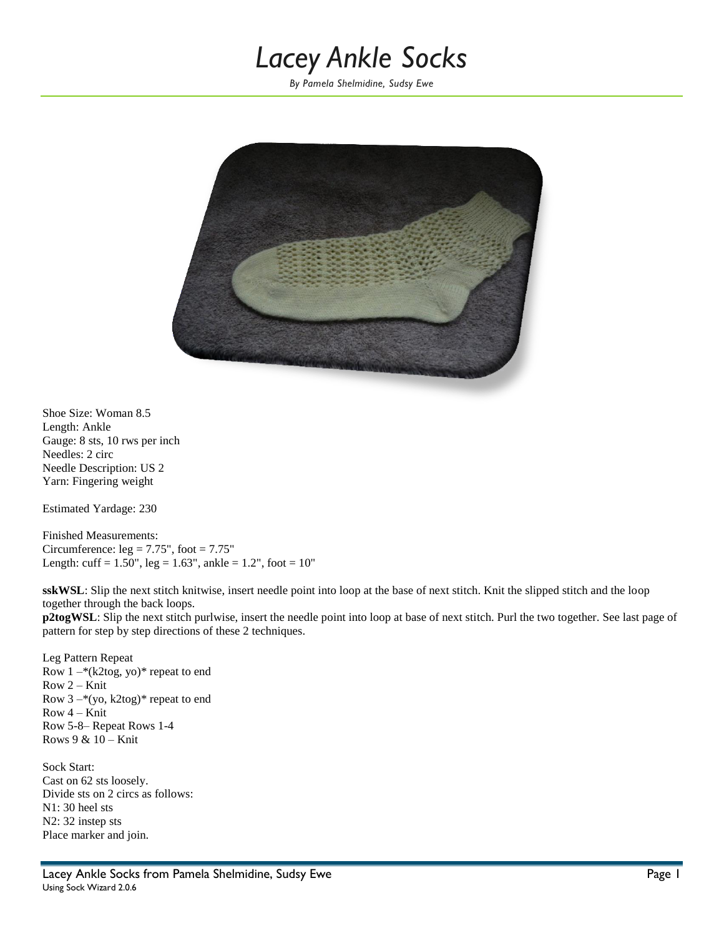# *Lacey Ankle Socks*

*By Pamela Shelmidine, Sudsy Ewe*



Shoe Size: Woman 8.5 Length: Ankle Gauge: 8 sts, 10 rws per inch Needles: 2 circ Needle Description: US 2 Yarn: Fingering weight

Estimated Yardage: 230

Finished Measurements: Circumference:  $leg = 7.75$ ", foot =  $7.75$ " Length: cuff =  $1.50$ ", leg =  $1.63$ ", ankle =  $1.2$ ", foot =  $10$ "

**sskWSL**: Slip the next stitch knitwise, insert needle point into loop at the base of next stitch. Knit the slipped stitch and the loop together through the back loops.

**p2togWSL**: Slip the next stitch purlwise, insert the needle point into loop at base of next stitch. Purl the two together. See last page of pattern for step by step directions of these 2 techniques.

Leg Pattern Repeat Row  $1 - (k2 \log, y0)^*$  repeat to end Row 2 – Knit Row 3 –\*(yo, k2tog)\* repeat to end Row 4 – Knit Row 5-8– Repeat Rows 1-4 Rows 9 & 10 – Knit

Sock Start: Cast on 62 sts loosely. Divide sts on 2 circs as follows: N1: 30 heel sts N2: 32 instep sts Place marker and join.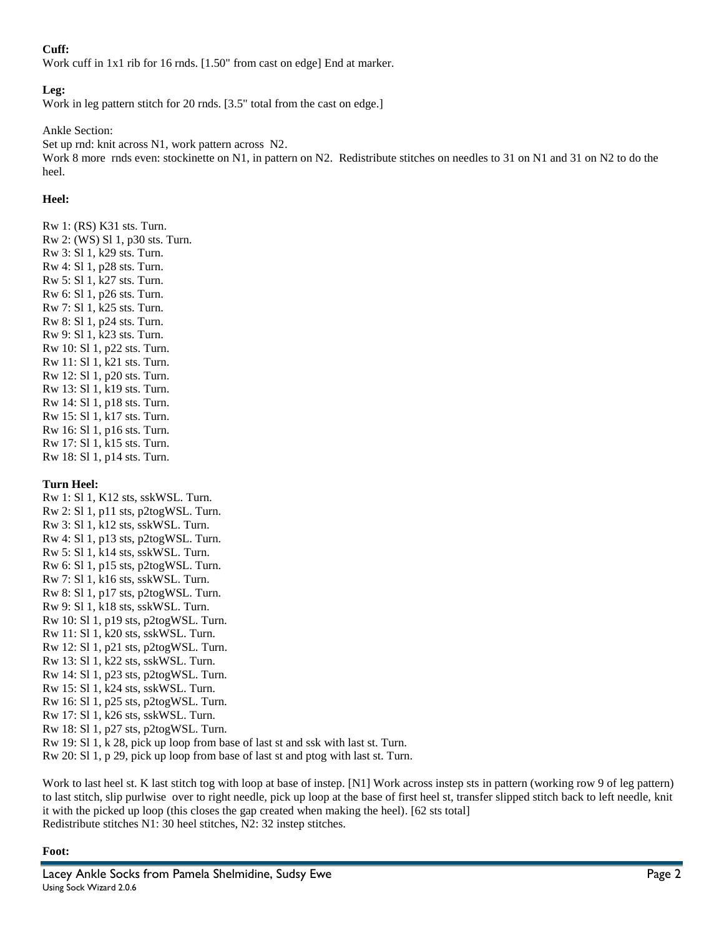## **Cuff:**

Work cuff in 1x1 rib for 16 rnds. [1.50" from cast on edge] End at marker.

## **Leg:**

Work in leg pattern stitch for 20 rnds. [3.5" total from the cast on edge.]

Ankle Section:

Set up rnd: knit across N1, work pattern across N2. Work 8 more rnds even: stockinette on N1, in pattern on N2. Redistribute stitches on needles to 31 on N1 and 31 on N2 to do the heel.

## **Heel:**

Rw 1: (RS) K31 sts. Turn. Rw 2: (WS) Sl 1, p30 sts. Turn. Rw 3: Sl 1, k29 sts. Turn. Rw 4: Sl 1, p28 sts. Turn. Rw 5: Sl 1, k27 sts. Turn. Rw 6: Sl 1, p26 sts. Turn. Rw 7: Sl 1, k25 sts. Turn. Rw 8: Sl 1, p24 sts. Turn. Rw 9: Sl 1, k23 sts. Turn. Rw 10: Sl 1, p22 sts. Turn. Rw 11: Sl 1, k21 sts. Turn. Rw 12: Sl 1, p20 sts. Turn. Rw 13: Sl 1, k19 sts. Turn. Rw 14: Sl 1, p18 sts. Turn. Rw 15: Sl 1, k17 sts. Turn. Rw 16: Sl 1, p16 sts. Turn. Rw 17: Sl 1, k15 sts. Turn. Rw 18: Sl 1, p14 sts. Turn.

#### **Turn Heel:**

Rw 1: Sl 1, K12 sts, sskWSL. Turn. Rw 2: Sl 1, p11 sts, p2togWSL. Turn. Rw 3: Sl 1, k12 sts, sskWSL. Turn. Rw 4: Sl 1, p13 sts, p2togWSL. Turn. Rw 5: Sl 1, k14 sts, sskWSL. Turn. Rw 6: Sl 1, p15 sts, p2togWSL. Turn. Rw 7: Sl 1, k16 sts, sskWSL. Turn. Rw 8: Sl 1, p17 sts, p2togWSL. Turn. Rw 9: Sl 1, k18 sts, sskWSL. Turn. Rw 10: Sl 1, p19 sts, p2togWSL. Turn. Rw 11: Sl 1, k20 sts, sskWSL. Turn. Rw 12: Sl 1, p21 sts, p2togWSL. Turn. Rw 13: Sl 1, k22 sts, sskWSL. Turn. Rw 14: Sl 1, p23 sts, p2togWSL. Turn. Rw 15: Sl 1, k24 sts, sskWSL. Turn. Rw 16: Sl 1, p25 sts, p2togWSL. Turn. Rw 17: Sl 1, k26 sts, sskWSL. Turn. Rw 18: Sl 1, p27 sts, p2togWSL. Turn. Rw 19: Sl 1, k 28, pick up loop from base of last st and ssk with last st. Turn. Rw 20: Sl 1, p 29, pick up loop from base of last st and ptog with last st. Turn.

Work to last heel st. K last stitch tog with loop at base of instep. [N1] Work across instep sts in pattern (working row 9 of leg pattern) to last stitch, slip purlwise over to right needle, pick up loop at the base of first heel st, transfer slipped stitch back to left needle, knit it with the picked up loop (this closes the gap created when making the heel). [62 sts total] Redistribute stitches N1: 30 heel stitches, N2: 32 instep stitches.

#### **Foot:**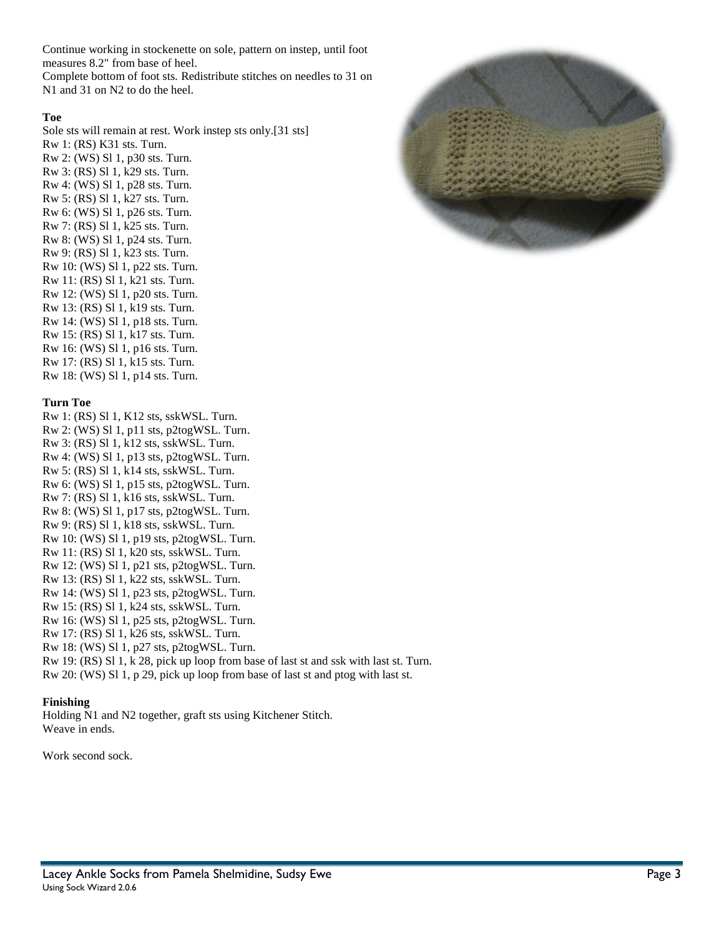Continue working in stockenette on sole, pattern on instep, until foot measures 8.2" from base of heel.

Complete bottom of foot sts. Redistribute stitches on needles to 31 on N1 and 31 on N2 to do the heel.

## **Toe**

Sole sts will remain at rest. Work instep sts only.[31 sts] Rw 1: (RS) K31 sts. Turn.

Rw 2: (WS) Sl 1, p30 sts. Turn. Rw 3: (RS) Sl 1, k29 sts. Turn. Rw 4: (WS) Sl 1, p28 sts. Turn. Rw 5: (RS) Sl 1, k27 sts. Turn. Rw 6: (WS) Sl 1, p26 sts. Turn. Rw 7: (RS) Sl 1, k25 sts. Turn. Rw 8: (WS) Sl 1, p24 sts. Turn. Rw 9: (RS) Sl 1, k23 sts. Turn. Rw 10: (WS) Sl 1, p22 sts. Turn. Rw 11: (RS) Sl 1, k21 sts. Turn. Rw 12: (WS) Sl 1, p20 sts. Turn. Rw 13: (RS) Sl 1, k19 sts. Turn. Rw 14: (WS) Sl 1, p18 sts. Turn. Rw 15: (RS) Sl 1, k17 sts. Turn. Rw 16: (WS) Sl 1, p16 sts. Turn. Rw 17: (RS) Sl 1, k15 sts. Turn. Rw 18: (WS) Sl 1, p14 sts. Turn.

#### **Turn Toe**

Rw 1: (RS) Sl 1, K12 sts, sskWSL. Turn. Rw 2: (WS) Sl 1, p11 sts, p2togWSL. Turn. Rw 3: (RS) Sl 1, k12 sts, sskWSL. Turn. Rw 4: (WS) Sl 1, p13 sts, p2togWSL. Turn. Rw 5: (RS) Sl 1, k14 sts, sskWSL. Turn. Rw 6: (WS) Sl 1, p15 sts, p2togWSL. Turn. Rw 7: (RS) Sl 1, k16 sts, sskWSL. Turn. Rw 8: (WS) Sl 1, p17 sts, p2togWSL. Turn. Rw 9: (RS) Sl 1, k18 sts, sskWSL. Turn. Rw 10: (WS) Sl 1, p19 sts, p2togWSL. Turn. Rw 11: (RS) Sl 1, k20 sts, sskWSL. Turn. Rw 12: (WS) Sl 1, p21 sts, p2togWSL. Turn. Rw 13: (RS) Sl 1, k22 sts, sskWSL. Turn. Rw 14: (WS) Sl 1, p23 sts, p2togWSL. Turn. Rw 15: (RS) Sl 1, k24 sts, sskWSL. Turn. Rw 16: (WS) Sl 1, p25 sts, p2togWSL. Turn. Rw 17: (RS) Sl 1, k26 sts, sskWSL. Turn. Rw 18: (WS) Sl 1, p27 sts, p2togWSL. Turn.

Rw 19: (RS) Sl 1, k 28, pick up loop from base of last st and ssk with last st. Turn. Rw 20: (WS) Sl 1, p 29, pick up loop from base of last st and ptog with last st.

#### **Finishing**

Holding N1 and N2 together, graft sts using Kitchener Stitch. Weave in ends.

Work second sock.